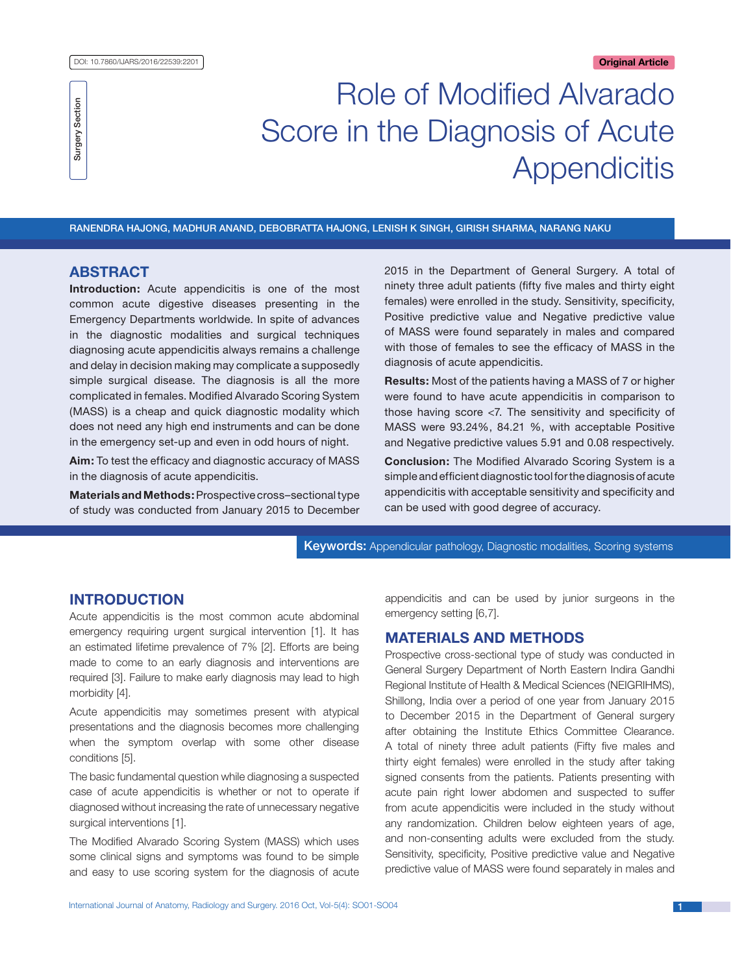**Surgery Section** Surgery Section

# Role of Modified Alvarado Score in the Diagnosis of Acute **Appendicitis**

Ranendra Hajong, Madhur Anand, Debobratta Hajong, Lenish K Singh, Girish Sharma, Narang Naku

# **ABSTRACT**

**Introduction:** Acute appendicitis is one of the most common acute digestive diseases presenting in the Emergency Departments worldwide. In spite of advances in the diagnostic modalities and surgical techniques diagnosing acute appendicitis always remains a challenge and delay in decision making may complicate a supposedly simple surgical disease. The diagnosis is all the more complicated in females. Modified Alvarado Scoring System (MASS) is a cheap and quick diagnostic modality which does not need any high end instruments and can be done in the emergency set-up and even in odd hours of night.

**Aim:** To test the efficacy and diagnostic accuracy of MASS in the diagnosis of acute appendicitis.

**Materials and Methods:** Prospective cross–sectional type of study was conducted from January 2015 to December 2015 in the Department of General Surgery. A total of ninety three adult patients (fifty five males and thirty eight females) were enrolled in the study. Sensitivity, specificity, Positive predictive value and Negative predictive value of MASS were found separately in males and compared with those of females to see the efficacy of MASS in the diagnosis of acute appendicitis.

**Results:** Most of the patients having a MASS of 7 or higher were found to have acute appendicitis in comparison to those having score <7. The sensitivity and specificity of MASS were 93.24%, 84.21 %, with acceptable Positive and Negative predictive values 5.91 and 0.08 respectively.

**Conclusion:** The Modified Alvarado Scoring System is a simple and efficient diagnostic tool for the diagnosis of acute appendicitis with acceptable sensitivity and specificity and can be used with good degree of accuracy.

Keywords: Appendicular pathology, Diagnostic modalities, Scoring systems

# **Introduction**

Acute appendicitis is the most common acute abdominal emergency requiring urgent surgical intervention [1]. It has an estimated lifetime prevalence of 7% [2]. Efforts are being made to come to an early diagnosis and interventions are required [3]. Failure to make early diagnosis may lead to high morbidity [4].

Acute appendicitis may sometimes present with atypical presentations and the diagnosis becomes more challenging when the symptom overlap with some other disease conditions [5].

The basic fundamental question while diagnosing a suspected case of acute appendicitis is whether or not to operate if diagnosed without increasing the rate of unnecessary negative surgical interventions [1].

The Modified Alvarado Scoring System (MASS) which uses some clinical signs and symptoms was found to be simple and easy to use scoring system for the diagnosis of acute appendicitis and can be used by junior surgeons in the emergency setting [6,7].

### **Materials and Methods**

Prospective cross-sectional type of study was conducted in General Surgery Department of North Eastern Indira Gandhi Regional Institute of Health & Medical Sciences (NEIGRIHMS), Shillong, India over a period of one year from January 2015 to December 2015 in the Department of General surgery after obtaining the Institute Ethics Committee Clearance. A total of ninety three adult patients (Fifty five males and thirty eight females) were enrolled in the study after taking signed consents from the patients. Patients presenting with acute pain right lower abdomen and suspected to suffer from acute appendicitis were included in the study without any randomization. Children below eighteen years of age, and non-consenting adults were excluded from the study. Sensitivity, specificity, Positive predictive value and Negative predictive value of MASS were found separately in males and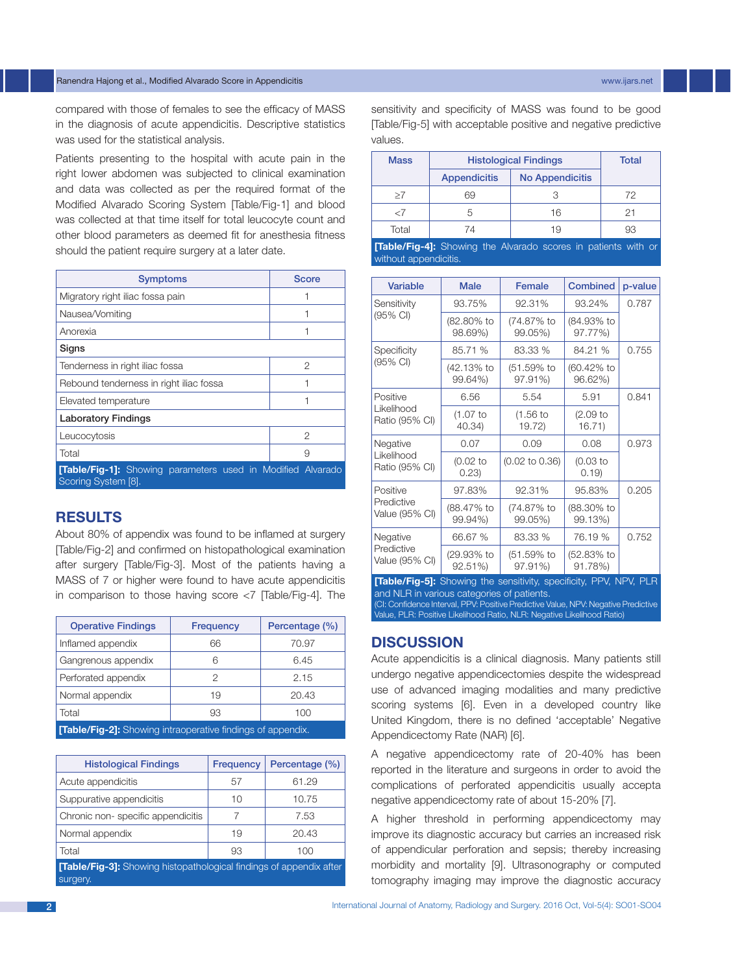#### Ranendra Hajong et al., Modified Alvarado Score in Appendicitis www.ijars.net

compared with those of females to see the efficacy of MASS in the diagnosis of acute appendicitis. Descriptive statistics was used for the statistical analysis.

Patients presenting to the hospital with acute pain in the right lower abdomen was subjected to clinical examination and data was collected as per the required format of the Modified Alvarado Scoring System [Table/Fig-1] and blood was collected at that time itself for total leucocyte count and other blood parameters as deemed fit for anesthesia fitness should the patient require surgery at a later date.

| <b>Symptoms</b>                                                                           | <b>Score</b> |  |  |
|-------------------------------------------------------------------------------------------|--------------|--|--|
| Migratory right iliac fossa pain                                                          |              |  |  |
| Nausea/Vomiting                                                                           |              |  |  |
| Anorexia                                                                                  |              |  |  |
| Signs                                                                                     |              |  |  |
| Tenderness in right iliac fossa                                                           | 2            |  |  |
| Rebound tenderness in right iliac fossa                                                   |              |  |  |
| Elevated temperature                                                                      |              |  |  |
| <b>Laboratory Findings</b>                                                                |              |  |  |
| Leucocytosis                                                                              | 2            |  |  |
| Total                                                                                     | 9            |  |  |
| <b>[Table/Fig-1]:</b> Showing parameters used in Modified Alvarado<br>Scoring System [8]. |              |  |  |

# **Results**

About 80% of appendix was found to be inflamed at surgery [Table/Fig-2] and confirmed on histopathological examination after surgery [Table/Fig-3]. Most of the patients having a MASS of 7 or higher were found to have acute appendicitis in comparison to those having score <7 [Table/Fig-4]. The

| <b>Operative Findings</b>                                          | <b>Frequency</b> | Percentage (%) |  |
|--------------------------------------------------------------------|------------------|----------------|--|
| Inflamed appendix                                                  | 66               | 70.97          |  |
| Gangrenous appendix                                                |                  | 6.45           |  |
| Perforated appendix                                                |                  | 2.15           |  |
| Normal appendix                                                    | 19               | 20.43          |  |
| Total                                                              | 93               | 100            |  |
| <b>[Table/Fig-2]:</b> Showing intraoperative findings of appendix. |                  |                |  |

| <b>Histological Findings</b>                                                           | Frequency | Percentage (%) |  |  |
|----------------------------------------------------------------------------------------|-----------|----------------|--|--|
| Acute appendicitis                                                                     | 57        | 61.29          |  |  |
| Suppurative appendicitis                                                               | 10        | 10.75          |  |  |
| Chronic non-specific appendicitis                                                      |           | 7.53           |  |  |
| Normal appendix                                                                        | 19        | 20.43          |  |  |
| Total                                                                                  | 93        | 100            |  |  |
| <b>[Table/Fig-3]:</b> Showing histopathological findings of appendix after<br>surgery. |           |                |  |  |

sensitivity and specificity of MASS was found to be good [Table/Fig-5] with acceptable positive and negative predictive values.

| <b>Mass</b> | <b>Histological Findings</b> | Total                                                                |    |
|-------------|------------------------------|----------------------------------------------------------------------|----|
|             | <b>Appendicitis</b>          | <b>No Appendicitis</b>                                               |    |
| >7          | 69                           |                                                                      | 72 |
| -7          |                              | 16                                                                   |    |
| Total       | 74                           | 19                                                                   | 93 |
|             |                              | <b>Table/Fig.41:</b> Showing the Alvarado scores in patients with or |    |

**[Table/Fig-4]:** Showing the Alvarado scores in patients with or without appendicitis.

| <b>Variable</b>                          | <b>Male</b>           | Female                    | <b>Combined</b>       | p-value |  |
|------------------------------------------|-----------------------|---------------------------|-----------------------|---------|--|
| Sensitivity                              | 93.75%                | 92.31%                    | 93.24%                | 0.787   |  |
| (95% CI)                                 | (82.80% to<br>98.69%) | (74.87% to<br>99.05%)     | (84.93% to<br>97.77%) |         |  |
| Specificity                              | 85.71 %               | 83.33 %                   | 84.21 %               | 0.755   |  |
| (95% CI)                                 | (42.13% to<br>99.64%) | (51.59% to<br>97.91%)     | (60.42% to<br>96.62%) |         |  |
| Positive                                 | 6.56                  | 5.54                      | 5.91                  | 0.841   |  |
| Likelihood<br>Ratio (95% CI)             | $(1.07)$ to<br>40.34) | $(1.56)$ to<br>19.72)     | $(2.09)$ to<br>16.71) |         |  |
| Negative                                 | 0.07                  | 0.09                      | 0.08                  | 0.973   |  |
| Likelihood<br>Ratio (95% CI)             | $(0.02)$ to<br>0.23)  | $(0.02 \text{ to } 0.36)$ | $(0.03)$ to<br>(0.19) |         |  |
| Positive                                 | 97.83%                | 92.31%                    | 95.83%                | 0.205   |  |
| Predictive<br>Value (95% CI)             | (88.47% to<br>99.94%) | (74.87% to<br>99.05%)     | (88.30% to<br>99.13%) |         |  |
| Negative<br>Predictive<br>Value (95% CI) | 66.67 %               | 83.33 %                   | 76.19 %               | 0.752   |  |
|                                          | (29.93% to<br>92.51%) | (51.59% to<br>97.91%)     | (52.83% to<br>91.78%) |         |  |

**[Table/Fig-5]:** Showing the sensitivity, specificity, PPV, NPV, PLR and NLR in various categories of patients. (CI: Confidence Interval, PPV: Positive Predictive Value, NPV: Negative Predictive Value, PLR: Positive Likelihood Ratio, NLR: Negative Likelihood Ratio)

## **Discussion**

Acute appendicitis is a clinical diagnosis. Many patients still undergo negative appendicectomies despite the widespread use of advanced imaging modalities and many predictive scoring systems [6]. Even in a developed country like United Kingdom, there is no defined 'acceptable' Negative Appendicectomy Rate (NAR) [6].

A negative appendicectomy rate of 20-40% has been reported in the literature and surgeons in order to avoid the complications of perforated appendicitis usually accepta negative appendicectomy rate of about 15-20% [7].

A higher threshold in performing appendicectomy may improve its diagnostic accuracy but carries an increased risk of appendicular perforation and sepsis; thereby increasing morbidity and mortality [9]. Ultrasonography or computed tomography imaging may improve the diagnostic accuracy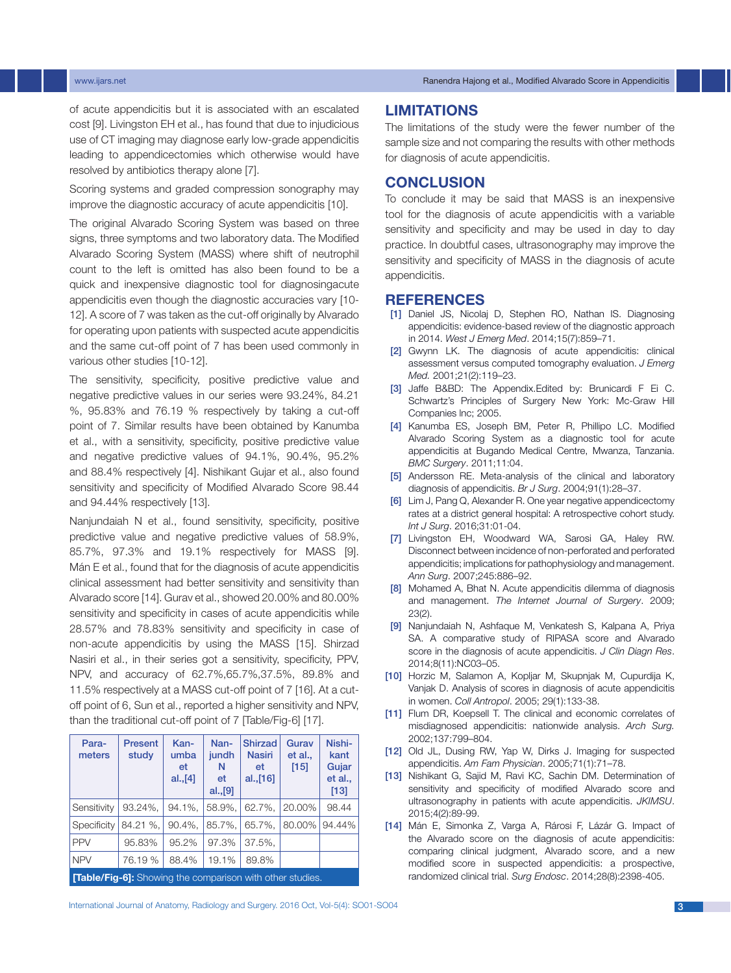www.ijars.net Ranendra Hajong et al., Modified Alvarado Score in Appendicitis

of acute appendicitis but it is associated with an escalated cost [9]. Livingston EH et al., has found that due to injudicious use of CT imaging may diagnose early low-grade appendicitis leading to appendicectomies which otherwise would have resolved by antibiotics therapy alone [7].

Scoring systems and graded compression sonography may improve the diagnostic accuracy of acute appendicitis [10].

The original Alvarado Scoring System was based on three signs, three symptoms and two laboratory data. The Modified Alvarado Scoring System (MASS) where shift of neutrophil count to the left is omitted has also been found to be a quick and inexpensive diagnostic tool for diagnosingacute appendicitis even though the diagnostic accuracies vary [10- 12]. A score of 7 was taken as the cut-off originally by Alvarado for operating upon patients with suspected acute appendicitis and the same cut-off point of 7 has been used commonly in various other studies [10-12].

The sensitivity, specificity, positive predictive value and negative predictive values in our series were 93.24%, 84.21 %, 95.83% and 76.19 % respectively by taking a cut-off point of 7. Similar results have been obtained by Kanumba et al., with a sensitivity, specificity, positive predictive value and negative predictive values of 94.1%, 90.4%, 95.2% and 88.4% respectively [4]. Nishikant Gujar et al., also found sensitivity and specificity of Modified Alvarado Score 98.44 and 94.44% respectively [13].

Nanjundaiah N et al., found sensitivity, specificity, positive predictive value and negative predictive values of 58.9%, 85.7%, 97.3% and 19.1% respectively for MASS [9]. Mán E et al., found that for the diagnosis of acute appendicitis clinical assessment had better sensitivity and sensitivity than Alvarado score [14]. Gurav et al., showed 20.00% and 80.00% sensitivity and specificity in cases of acute appendicitis while 28.57% and 78.83% sensitivity and specificity in case of non-acute appendicitis by using the MASS [15]. Shirzad Nasiri et al., in their series got a sensitivity, specificity, PPV, NPV, and accuracy of 62.7%,65.7%,37.5%, 89.8% and 11.5% respectively at a MASS cut-off point of 7 [16]. At a cutoff point of 6, Sun et al., reported a higher sensitivity and NPV, than the traditional cut-off point of 7 [Table/Fig-6] [17].

| Para-<br>meters                                                  | Present<br>study | Kan-<br>umba<br>et<br>al., [4] | Nan-<br>jundh<br>N<br>et<br>al., [9] | <b>Shirzad</b><br><b>Nasiri</b><br>et<br>al., [16] | Gurav<br>et al.,<br>$[15]$ | Nishi-<br>kant<br>Gujar<br>et al.,<br>$[13]$ |
|------------------------------------------------------------------|------------------|--------------------------------|--------------------------------------|----------------------------------------------------|----------------------------|----------------------------------------------|
| Sensitivity                                                      | 93.24%.          | 94.1%,                         | 58.9%,                               | 62.7%,                                             | 20.00%                     | 98.44                                        |
| Specificity                                                      | 84.21 %,         | 90.4%,                         | 85.7%.                               | 65.7%,                                             | 80.00%                     | 94.44%                                       |
| <b>PPV</b>                                                       | 95.83%           | 95.2%                          | 97.3%                                | 37.5%,                                             |                            |                                              |
| <b>NPV</b>                                                       | 76.19 %          | 88.4%                          | 19.1%                                | 89.8%                                              |                            |                                              |
| <b>[Table/Fig-6]:</b> Showing the comparison with other studies. |                  |                                |                                      |                                                    |                            |                                              |

#### **Limitations**

The limitations of the study were the fewer number of the sample size and not comparing the results with other methods for diagnosis of acute appendicitis.

# **Conclusion**

To conclude it may be said that MASS is an inexpensive tool for the diagnosis of acute appendicitis with a variable sensitivity and specificity and may be used in day to day practice. In doubtful cases, ultrasonography may improve the sensitivity and specificity of MASS in the diagnosis of acute appendicitis.

#### **References**

- [1] Daniel JS, Nicolaj D, Stephen RO, Nathan IS. Diagnosing appendicitis: evidence-based review of the diagnostic approach in 2014. *West J Emerg Med*. 2014;15(7):859–71.
- [2] Gwynn LK. The diagnosis of acute appendicitis: clinical assessment versus computed tomography evaluation. *J Emerg Med.* 2001;21(2):119–23.
- [3] Jaffe B&BD: The Appendix.Edited by: Brunicardi F Ei C. Schwartz's Principles of Surgery New York: Mc-Graw Hill Companies lnc; 2005.
- [4] Kanumba ES, Joseph BM, Peter R, Phillipo LC. Modified Alvarado Scoring System as a diagnostic tool for acute appendicitis at Bugando Medical Centre, Mwanza, Tanzania. *BMC Surgery*. 2011;11:04.
- [5] Andersson RE. Meta-analysis of the clinical and laboratory diagnosis of appendicitis. *Br J Surg*. 2004;91(1):28–37.
- [6] Lim J, Pang Q, Alexander R. One year negative appendicectomy rates at a district general hospital: A retrospective cohort study. *Int J Surg*. 2016;31:01-04.
- [7] Livingston EH, Woodward WA, Sarosi GA, Haley RW. Disconnect between incidence of non-perforated and perforated appendicitis; implications for pathophysiology and management. *Ann Surg*. 2007;245:886–92.
- [8] Mohamed A, Bhat N. Acute appendicitis dilemma of diagnosis and management. *The Internet Journal of Surgery*. 2009; 23(2).
- [9] Nanjundaiah N, Ashfaque M, Venkatesh S, Kalpana A, Priya SA. A comparative study of RIPASA score and Alvarado score in the diagnosis of acute appendicitis. *J Clin Diagn Res*. 2014;8(11):NC03–05.
- [10] Horzic M, Salamon A, Kopljar M, Skupnjak M, Cupurdija K, Vanjak D. Analysis of scores in diagnosis of acute appendicitis in women. *Coll Antropol*. 2005; 29(1):133-38.
- [11] Flum DR, Koepsell T. The clinical and economic correlates of misdiagnosed appendicitis: nationwide analysis. *Arch Surg.* 2002;137:799–804.
- [12] Old JL, Dusing RW, Yap W, Dirks J. Imaging for suspected appendicitis. *Am Fam Physician*. 2005;71(1):71–78.
- [13] Nishikant G, Sajid M, Ravi KC, Sachin DM. Determination of sensitivity and specificity of modified Alvarado score and ultrasonography in patients with acute appendicitis. *JKIMSU*. 2015;4(2):89-99.
- [14] Mán E, Simonka Z, Varga A, Rárosi F, Lázár G. Impact of the Alvarado score on the diagnosis of acute appendicitis: comparing clinical judgment, Alvarado score, and a new modified score in suspected appendicitis: a prospective, randomized clinical trial. *Surg Endosc*. 2014;28(8):2398-405.

International Journal of Anatomy, Radiology and Surgery. 2016 Oct, Vol-5(4): SO01-SO04 31 32 32 33 33 34 34 35 36 36 37 38 39 30 31 32 32 33 34 35 35 36 37 37 38 39 30 31 32 32 33 34 35 35 36 37 38 39 30 31 32 33 34 35 35